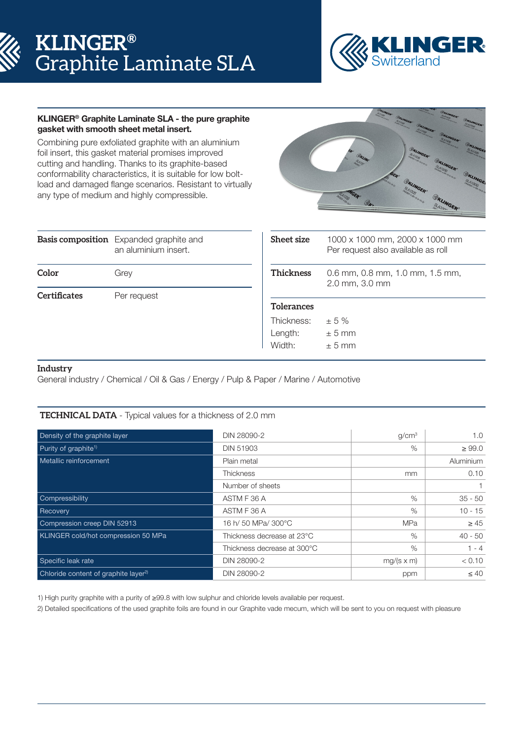# **KLINGER®** Graphite Laminate SLA



# KLINGER® Graphite Laminate SLA - the pure graphite gasket with smooth sheet metal insert.

Combining pure exfoliated graphite with an aluminium foil insert, this gasket material promises improved cutting and handling. Thanks to its graphite-based conformability characteristics, it is suitable for low boltload and damaged flange scenarios. Resistant to virtually any type of medium and highly compressible.



|              | <b>Basis composition</b> Expanded graphite and<br>an aluminium insert. | <b>Sheet size</b> | 1000 x 1000 mm, 2000 x 1000 mm<br>Per request also available as roll |
|--------------|------------------------------------------------------------------------|-------------------|----------------------------------------------------------------------|
| Color        | Grey                                                                   | <b>Thickness</b>  | 0.6 mm, 0.8 mm, 1.0 mm, 1.5 mm,<br>2.0 mm, 3.0 mm                    |
| Certificates | Per request                                                            |                   |                                                                      |
|              |                                                                        | <b>Tolerances</b> |                                                                      |
|              |                                                                        | Thickness:        | $\pm$ 5 %                                                            |
|              |                                                                        | Length:           | $± 5$ mm                                                             |
|              |                                                                        | Width:            | $+5$ mm                                                              |

### **Industry**

General industry / Chemical / Oil & Gas / Energy / Pulp & Paper / Marine / Automotive

# **TECHNICAL DATA** - Typical values for a thickness of 2.0 mm

| Density of the graphite layer                    | DIN 28090-2                 | q/cm <sup>3</sup> | 1.0         |
|--------------------------------------------------|-----------------------------|-------------------|-------------|
| Purity of graphite <sup>1)</sup>                 | <b>DIN 51903</b>            | $\%$              | $\geq 99.0$ |
| Metallic reinforcement                           | Plain metal                 |                   | Aluminium   |
|                                                  | <b>Thickness</b>            | mm                | 0.10        |
|                                                  | Number of sheets            |                   |             |
| Compressibility                                  | ASTM F 36 A                 | $\%$              | $35 - 50$   |
| Recovery                                         | ASTM F 36 A                 | $\%$              | $10 - 15$   |
| Compression creep DIN 52913                      | 16 h/ 50 MPa/ 300°C         | <b>MPa</b>        | $\geq 45$   |
| KLINGER cold/hot compression 50 MPa              | Thickness decrease at 23°C  | $\%$              | $40 - 50$   |
|                                                  | Thickness decrease at 300°C | $\%$              | $1 - 4$     |
| Specific leak rate                               | DIN 28090-2                 | $mg/(s \times m)$ | < 0.10      |
| Chloride content of graphite layer <sup>2)</sup> | DIN 28090-2                 | ppm               | $\leq 40$   |

1) High purity graphite with a purity of ≥99.8 with low sulphur and chloride levels available per request.

2) Detailed specifications of the used graphite foils are found in our Graphite vade mecum, which will be sent to you on request with pleasure